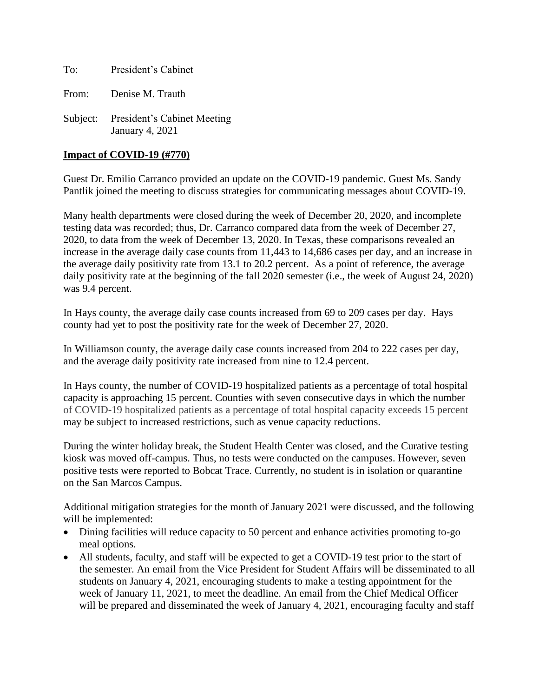To: President's Cabinet

From: Denise M. Trauth

Subject: President's Cabinet Meeting January 4, 2021

## **Impact of COVID-19 (#770)**

Guest Dr. Emilio Carranco provided an update on the COVID-19 pandemic. Guest Ms. Sandy Pantlik joined the meeting to discuss strategies for communicating messages about COVID-19.

Many health departments were closed during the week of December 20, 2020, and incomplete testing data was recorded; thus, Dr. Carranco compared data from the week of December 27, 2020, to data from the week of December 13, 2020. In Texas, these comparisons revealed an increase in the average daily case counts from 11,443 to 14,686 cases per day, and an increase in the average daily positivity rate from 13.1 to 20.2 percent. As a point of reference, the average daily positivity rate at the beginning of the fall 2020 semester (i.e., the week of August 24, 2020) was 9.4 percent.

In Hays county, the average daily case counts increased from 69 to 209 cases per day. Hays county had yet to post the positivity rate for the week of December 27, 2020.

In Williamson county, the average daily case counts increased from 204 to 222 cases per day, and the average daily positivity rate increased from nine to 12.4 percent.

In Hays county, the number of COVID-19 hospitalized patients as a percentage of total hospital capacity is approaching 15 percent. Counties with seven consecutive days in which the number of COVID-19 hospitalized patients as a percentage of total hospital capacity exceeds 15 percent may be subject to increased restrictions, such as venue capacity reductions.

During the winter holiday break, the Student Health Center was closed, and the Curative testing kiosk was moved off-campus. Thus, no tests were conducted on the campuses. However, seven positive tests were reported to Bobcat Trace. Currently, no student is in isolation or quarantine on the San Marcos Campus.

Additional mitigation strategies for the month of January 2021 were discussed, and the following will be implemented:

- Dining facilities will reduce capacity to 50 percent and enhance activities promoting to-go meal options.
- All students, faculty, and staff will be expected to get a COVID-19 test prior to the start of the semester. An email from the Vice President for Student Affairs will be disseminated to all students on January 4, 2021, encouraging students to make a testing appointment for the week of January 11, 2021, to meet the deadline. An email from the Chief Medical Officer will be prepared and disseminated the week of January 4, 2021, encouraging faculty and staff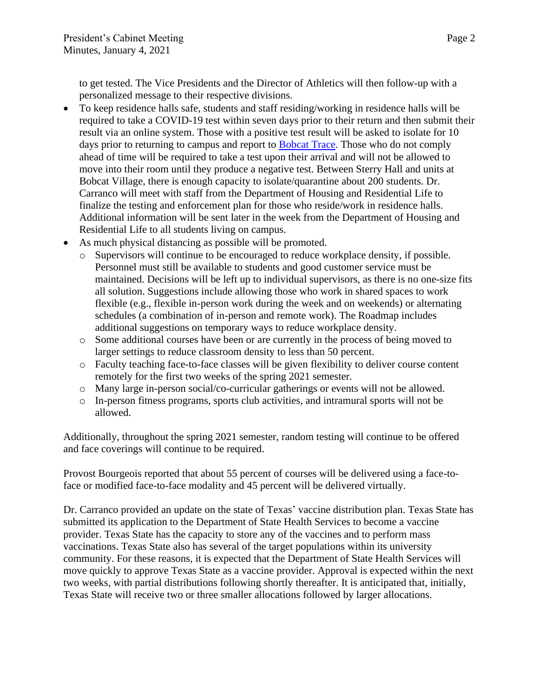to get tested. The Vice Presidents and the Director of Athletics will then follow-up with a personalized message to their respective divisions.

- To keep residence halls safe, students and staff residing/working in residence halls will be required to take a COVID-19 test within seven days prior to their return and then submit their result via an online system. Those with a positive test result will be asked to isolate for 10 days prior to returning to campus and report to **Bobcat Trace**. Those who do not comply ahead of time will be required to take a test upon their arrival and will not be allowed to move into their room until they produce a negative test. Between Sterry Hall and units at Bobcat Village, there is enough capacity to isolate/quarantine about 200 students. Dr. Carranco will meet with staff from the Department of Housing and Residential Life to finalize the testing and enforcement plan for those who reside/work in residence halls. Additional information will be sent later in the week from the Department of Housing and Residential Life to all students living on campus.
- As much physical distancing as possible will be promoted.
	- o Supervisors will continue to be encouraged to reduce workplace density, if possible. Personnel must still be available to students and good customer service must be maintained. Decisions will be left up to individual supervisors, as there is no one-size fits all solution. Suggestions include allowing those who work in shared spaces to work flexible (e.g., flexible in-person work during the week and on weekends) or alternating schedules (a combination of in-person and remote work). The Roadmap includes additional suggestions on temporary ways to reduce workplace density.
	- o Some additional courses have been or are currently in the process of being moved to larger settings to reduce classroom density to less than 50 percent.
	- o Faculty teaching face-to-face classes will be given flexibility to deliver course content remotely for the first two weeks of the spring 2021 semester.
	- o Many large in-person social/co-curricular gatherings or events will not be allowed.
	- o In-person fitness programs, sports club activities, and intramural sports will not be allowed.

Additionally, throughout the spring 2021 semester, random testing will continue to be offered and face coverings will continue to be required.

Provost Bourgeois reported that about 55 percent of courses will be delivered using a face-toface or modified face-to-face modality and 45 percent will be delivered virtually.

Dr. Carranco provided an update on the state of Texas' vaccine distribution plan. Texas State has submitted its application to the Department of State Health Services to become a vaccine provider. Texas State has the capacity to store any of the vaccines and to perform mass vaccinations. Texas State also has several of the target populations within its university community. For these reasons, it is expected that the Department of State Health Services will move quickly to approve Texas State as a vaccine provider. Approval is expected within the next two weeks, with partial distributions following shortly thereafter. It is anticipated that, initially, Texas State will receive two or three smaller allocations followed by larger allocations.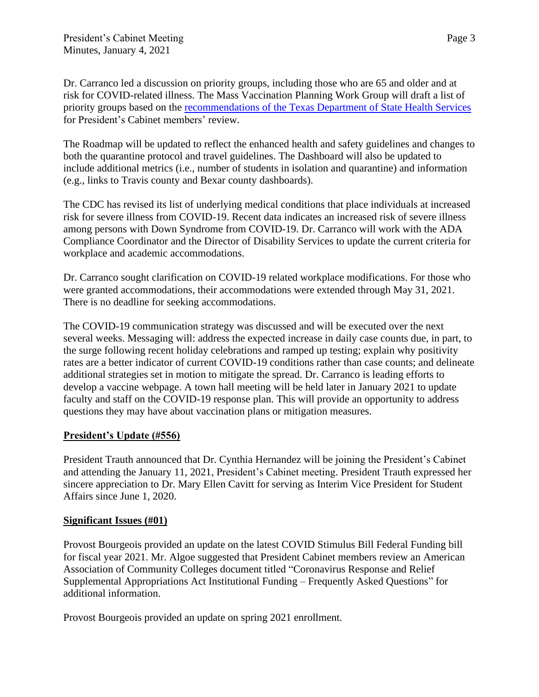Dr. Carranco led a discussion on priority groups, including those who are 65 and older and at risk for COVID-related illness. The Mass Vaccination Planning Work Group will draft a list of priority groups based on the [recommendations of the Texas Department of State Health Services](https://nam04.safelinks.protection.outlook.com/?url=https%3A%2F%2Fwww.dshs.state.tx.us%2Fcoronavirus%2Fimmunize%2Fvaccine.aspx&data=04%7C01%7CLisaLloyd%40txstate.edu%7C6e27226346564fc7b0f608d8b262e307%7Cb19c134a14c94d4caf65c420f94c8cbb%7C0%7C0%7C637455485306901016%7CUnknown%7CTWFpbGZsb3d8eyJWIjoiMC4wLjAwMDAiLCJQIjoiV2luMzIiLCJBTiI6Ik1haWwiLCJXVCI6Mn0%3D%7C1000&sdata=fJC%2F39r4dV0OpjuvzgWDK2nX0k5l1B%2FA1nKnmHOs0W0%3D&reserved=0) for President's Cabinet members' review.

The Roadmap will be updated to reflect the enhanced health and safety guidelines and changes to both the quarantine protocol and travel guidelines. The Dashboard will also be updated to include additional metrics (i.e., number of students in isolation and quarantine) and information (e.g., links to Travis county and Bexar county dashboards).

The CDC has revised its list of underlying medical conditions that place individuals at increased risk for severe illness from COVID-19. Recent data indicates an increased risk of severe illness among persons with Down Syndrome from COVID-19. Dr. Carranco will work with the ADA Compliance Coordinator and the Director of Disability Services to update the current criteria for workplace and academic accommodations.

Dr. Carranco sought clarification on COVID-19 related workplace modifications. For those who were granted accommodations, their accommodations were extended through May 31, 2021. There is no deadline for seeking accommodations.

The COVID-19 communication strategy was discussed and will be executed over the next several weeks. Messaging will: address the expected increase in daily case counts due, in part, to the surge following recent holiday celebrations and ramped up testing; explain why positivity rates are a better indicator of current COVID-19 conditions rather than case counts; and delineate additional strategies set in motion to mitigate the spread. Dr. Carranco is leading efforts to develop a vaccine webpage. A town hall meeting will be held later in January 2021 to update faculty and staff on the COVID-19 response plan. This will provide an opportunity to address questions they may have about vaccination plans or mitigation measures.

## **President's Update (#556)**

President Trauth announced that Dr. Cynthia Hernandez will be joining the President's Cabinet and attending the January 11, 2021, President's Cabinet meeting. President Trauth expressed her sincere appreciation to Dr. Mary Ellen Cavitt for serving as Interim Vice President for Student Affairs since June 1, 2020.

## **Significant Issues (#01)**

Provost Bourgeois provided an update on the latest COVID Stimulus Bill Federal Funding bill for fiscal year 2021. Mr. Algoe suggested that President Cabinet members review an American Association of Community Colleges document titled "Coronavirus Response and Relief Supplemental Appropriations Act Institutional Funding – Frequently Asked Questions" for additional information.

Provost Bourgeois provided an update on spring 2021 enrollment.